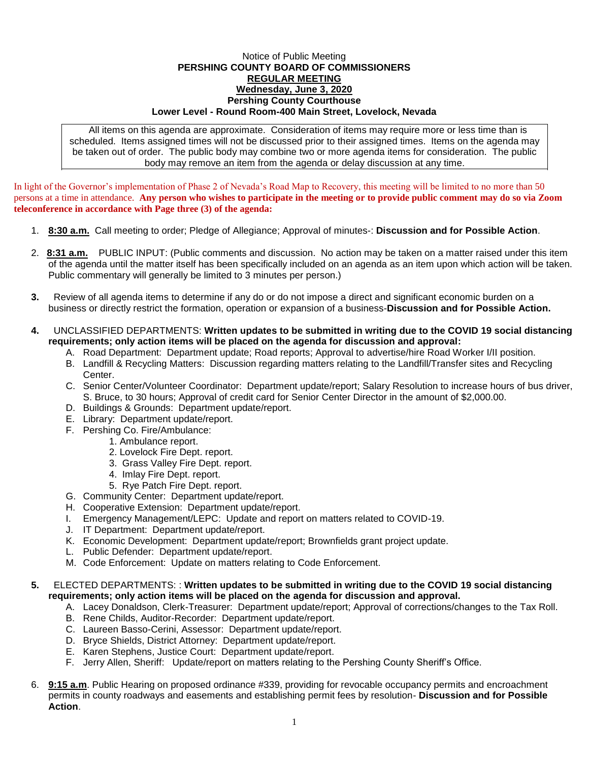## Notice of Public Meeting **PERSHING COUNTY BOARD OF COMMISSIONERS REGULAR MEETING Wednesday, June 3, 2020 Pershing County Courthouse Lower Level - Round Room-400 Main Street, Lovelock, Nevada**

All items on this agenda are approximate. Consideration of items may require more or less time than is scheduled. Items assigned times will not be discussed prior to their assigned times. Items on the agenda may be taken out of order. The public body may combine two or more agenda items for consideration. The public body may remove an item from the agenda or delay discussion at any time.

In light of the Governor's implementation of Phase 2 of Nevada's Road Map to Recovery, this meeting will be limited to no more than 50 persons at a time in attendance. **Any person who wishes to participate in the meeting or to provide public comment may do so via Zoom teleconference in accordance with Page three (3) of the agenda:** 

- 1. **8:30 a.m.** Call meeting to order; Pledge of Allegiance; Approval of minutes-: **Discussion and for Possible Action**.
- 2. **8:31 a.m.** PUBLIC INPUT: (Public comments and discussion. No action may be taken on a matter raised under this item of the agenda until the matter itself has been specifically included on an agenda as an item upon which action will be taken. Public commentary will generally be limited to 3 minutes per person.)
- **3.** Review of all agenda items to determine if any do or do not impose a direct and significant economic burden on a business or directly restrict the formation, operation or expansion of a business-**Discussion and for Possible Action.**
- **4.** UNCLASSIFIED DEPARTMENTS: **Written updates to be submitted in writing due to the COVID 19 social distancing requirements; only action items will be placed on the agenda for discussion and approval:**
	- A. Road Department: Department update; Road reports; Approval to advertise/hire Road Worker I/II position.
	- B. Landfill & Recycling Matters: Discussion regarding matters relating to the Landfill/Transfer sites and Recycling Center.
	- C. Senior Center/Volunteer Coordinator: Department update/report; Salary Resolution to increase hours of bus driver, S. Bruce, to 30 hours; Approval of credit card for Senior Center Director in the amount of \$2,000.00.
	- D. Buildings & Grounds: Department update/report.
	- E. Library: Department update/report.
	- F. Pershing Co. Fire/Ambulance:
		- 1. Ambulance report.
		- 2. Lovelock Fire Dept. report.
		- 3. Grass Valley Fire Dept. report.
		- 4. Imlay Fire Dept. report.
		- 5. Rye Patch Fire Dept. report.
	- G. Community Center: Department update/report.
	- H. Cooperative Extension: Department update/report.
	- I. Emergency Management/LEPC: Update and report on matters related to COVID-19.
	- J. IT Department: Department update/report.
	- K. Economic Development: Department update/report; Brownfields grant project update.
	- L. Public Defender: Department update/report.
	- M. Code Enforcement: Update on matters relating to Code Enforcement.

## **5.** ELECTED DEPARTMENTS: : **Written updates to be submitted in writing due to the COVID 19 social distancing requirements; only action items will be placed on the agenda for discussion and approval.**

- A. Lacey Donaldson, Clerk-Treasurer: Department update/report; Approval of corrections/changes to the Tax Roll.
- B. Rene Childs, Auditor-Recorder: Department update/report.
- C. Laureen Basso-Cerini, Assessor: Department update/report.
- D. Bryce Shields, District Attorney: Department update/report.
- E. Karen Stephens, Justice Court: Department update/report.
- F. Jerry Allen, Sheriff: Update/report on matters relating to the Pershing County Sheriff's Office.
- 6. **9:15 a.m**. Public Hearing on proposed ordinance #339, providing for revocable occupancy permits and encroachment permits in county roadways and easements and establishing permit fees by resolution- **Discussion and for Possible Action**.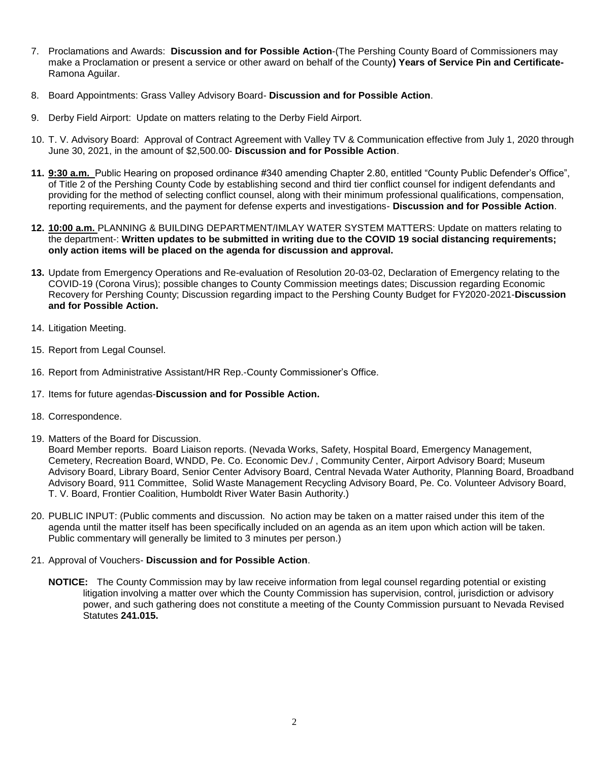- 7. Proclamations and Awards: **Discussion and for Possible Action**-(The Pershing County Board of Commissioners may make a Proclamation or present a service or other award on behalf of the County**) Years of Service Pin and Certificate-**Ramona Aguilar.
- 8. Board Appointments: Grass Valley Advisory Board- **Discussion and for Possible Action**.
- 9. Derby Field Airport: Update on matters relating to the Derby Field Airport.
- 10. T. V. Advisory Board: Approval of Contract Agreement with Valley TV & Communication effective from July 1, 2020 through June 30, 2021, in the amount of \$2,500.00- **Discussion and for Possible Action**.
- **11. 9:30 a.m.** Public Hearing on proposed ordinance #340 amending Chapter 2.80, entitled "County Public Defender's Office", of Title 2 of the Pershing County Code by establishing second and third tier conflict counsel for indigent defendants and providing for the method of selecting conflict counsel, along with their minimum professional qualifications, compensation, reporting requirements, and the payment for defense experts and investigations- **Discussion and for Possible Action**.
- **12. 10:00 a.m.** PLANNING & BUILDING DEPARTMENT/IMLAY WATER SYSTEM MATTERS: Update on matters relating to the department-: **Written updates to be submitted in writing due to the COVID 19 social distancing requirements; only action items will be placed on the agenda for discussion and approval.**
- **13.** Update from Emergency Operations and Re-evaluation of Resolution 20-03-02, Declaration of Emergency relating to the COVID-19 (Corona Virus); possible changes to County Commission meetings dates; Discussion regarding Economic Recovery for Pershing County; Discussion regarding impact to the Pershing County Budget for FY2020-2021-**Discussion and for Possible Action.**
- 14. Litigation Meeting.
- 15. Report from Legal Counsel.
- 16. Report from Administrative Assistant/HR Rep.-County Commissioner's Office.
- 17. Items for future agendas-**Discussion and for Possible Action.**
- 18. Correspondence.
- 19. Matters of the Board for Discussion.

Board Member reports. Board Liaison reports. (Nevada Works, Safety, Hospital Board, Emergency Management, Cemetery, Recreation Board, WNDD, Pe. Co. Economic Dev./ , Community Center, Airport Advisory Board; Museum Advisory Board, Library Board, Senior Center Advisory Board, Central Nevada Water Authority, Planning Board, Broadband Advisory Board, 911 Committee, Solid Waste Management Recycling Advisory Board, Pe. Co. Volunteer Advisory Board, T. V. Board, Frontier Coalition, Humboldt River Water Basin Authority.)

- 20. PUBLIC INPUT: (Public comments and discussion. No action may be taken on a matter raised under this item of the agenda until the matter itself has been specifically included on an agenda as an item upon which action will be taken. Public commentary will generally be limited to 3 minutes per person.)
- 21. Approval of Vouchers- **Discussion and for Possible Action**.
	- **NOTICE:** The County Commission may by law receive information from legal counsel regarding potential or existing litigation involving a matter over which the County Commission has supervision, control, jurisdiction or advisory power, and such gathering does not constitute a meeting of the County Commission pursuant to Nevada Revised Statutes **241.015.**